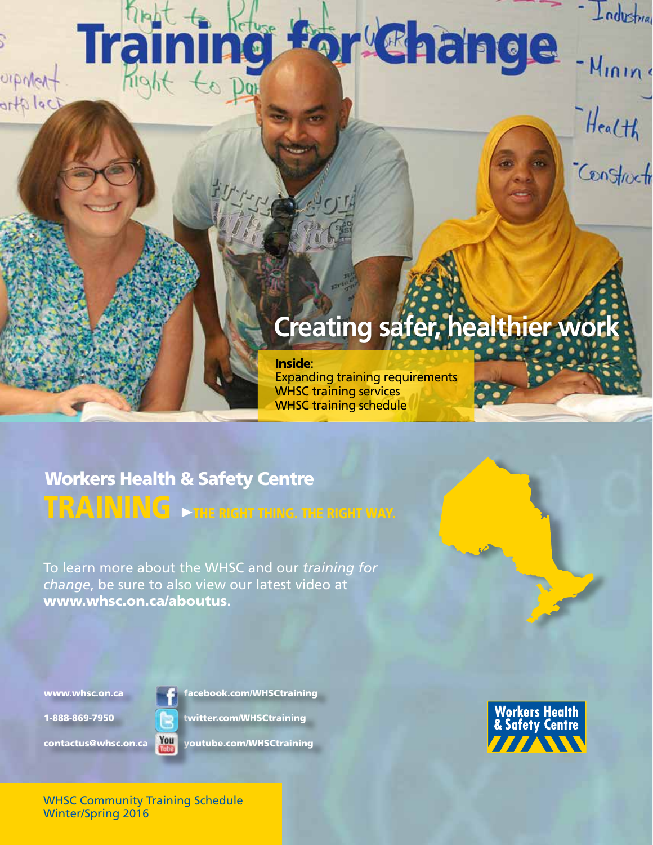# **For Change USP**

- Mining

Health

.<br>Construction

Industrial

## **Creating safer, healthier work**

Inside: Expanding training requirements WHSC training services WHSC training schedule

## $\mathbf{TRANING}\rightarrow$  the right thing. The right way. Workers Health & Safety Centre

To learn more about the WHSC and our *training for change*, be sure to also view our latest video at www.whsc.on.ca/aboutus**.**

www.whsc.on.ca **facebook.com/WHSCtraining** 

1-888-869-7950 twitter.com/WHSCtraining

UpMert

ortplaci



contactus@whsc.on.ca You youtube.com/WHSCtraining



WHSC Community Training Schedule Winter/Spring 2016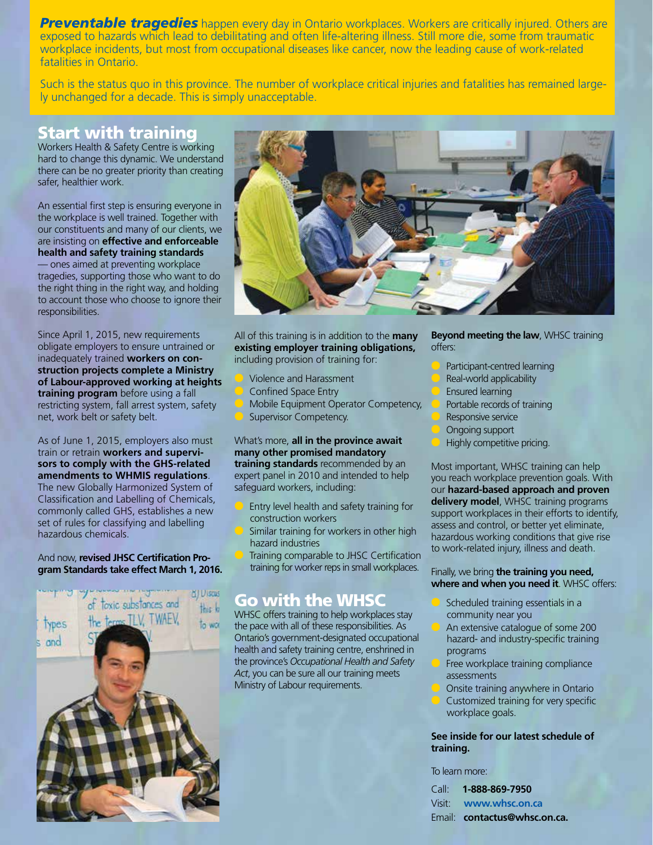**Preventable tragedies** happen every day in Ontario workplaces. Workers are critically injured. Others are exposed to hazards which lead to debilitating and often life-altering illness. Still more die, some from traumatic workplace incidents, but most from occupational diseases like cancer, now the leading cause of work-related fatalities in Ontario.

Such is the status quo in this province. The number of workplace critical injuries and fatalities has remained largely unchanged for a decade. This is simply unacceptable.

### Start with training

Workers Health & Safety Centre is working hard to change this dynamic. We understand there can be no greater priority than creating safer, healthier work.

An essential first step is ensuring everyone in the workplace is well trained. Together with our constituents and many of our clients, we are insisting on **effective and enforceable health and safety training standards** — ones aimed at preventing workplace tragedies, supporting those who want to do the right thing in the right way, and holding to account those who choose to ignore their responsibilities.

Since April 1, 2015, new requirements obligate employers to ensure untrained or inadequately trained **workers on construction projects complete a Ministry of Labour-approved working at heights training program** before using a fall restricting system, fall arrest system, safety net, work belt or safety belt.

As of June 1, 2015, employers also must train or retrain **workers and supervisors to comply with the GHS-related amendments to WHMIS regulations**. The new Globally Harmonized System of Classification and Labelling of Chemicals, commonly called GHS, establishes a new set of rules for classifying and labelling hazardous chemicals.

#### And now, **revised JHSC Certification Program Standards take effect March 1, 2016.**





All of this training is in addition to the **many existing employer training obligations,**  including provision of training for:

- l Violence and Harassment
- l Confined Space Entry
- Mobile Equipment Operator Competency,
- Supervisor Competency.

What's more, **all in the province await many other promised mandatory training standards** recommended by an expert panel in 2010 and intended to help safeguard workers, including:

- Entry level health and safety training for construction workers
- Similar training for workers in other high hazard industries
- Training comparable to JHSC Certification training for worker reps in small workplaces.

### Go with the WHSC

WHSC offers training to help workplaces stay the pace with all of these responsibilities. As Ontario's government-designated occupational health and safety training centre, enshrined in the province's *Occupational Health and Safety Act*, you can be sure all our training meets Ministry of Labour requirements.

**Beyond meeting the law**, WHSC training offers:

- Participant-centred learning
- Real-world applicability
- Ensured learning
- Portable records of training
- Responsive service
- Ongoing support
- Highly competitive pricing.

Most important, WHSC training can help you reach workplace prevention goals. With our **hazard-based approach and proven delivery model**, WHSC training programs support workplaces in their efforts to identify, assess and control, or better yet eliminate, hazardous working conditions that give rise to work-related injury, illness and death.

#### Finally, we bring **the training you need, where and when you need it**. WHSC offers:

- Scheduled training essentials in a community near you
- An extensive catalogue of some 200 hazard- and industry-specific training programs
- Free workplace training compliance assessments
- Onsite training anywhere in Ontario
- Customized training for very specific workplace goals.

#### **See inside for our latest schedule of training.**

To learn more:

| Call: <b>1-888-869-7950</b>  |
|------------------------------|
| Visit: www.whsc.on.ca        |
| Email: contactus@whsc.on.ca. |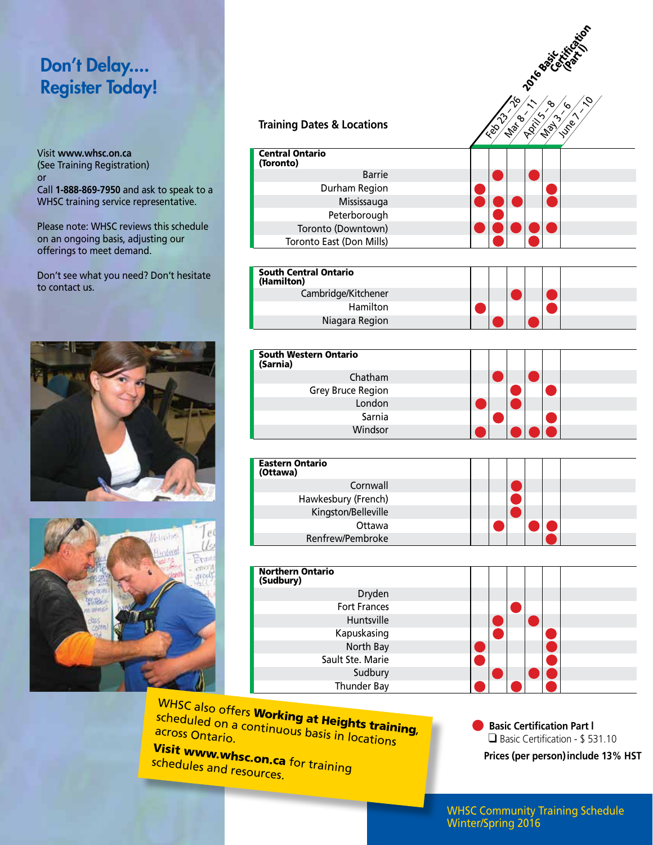## Don't Delay.... Register Today!

Visit **www.whsc.on.ca** (See Training Registration) or Call **1-888-869-7950** and ask to speak to a WHSC training service representative.

Please note: WHSC reviews this schedule on an ongoing basis, adjusting our offerings to meet demand.

Don't see what you need? Don't hesitate to contact us.





|                                            | Filon                                                              |
|--------------------------------------------|--------------------------------------------------------------------|
|                                            | <b>Portes Calgary</b>                                              |
| <b>Training Dates &amp; Locations</b>      | $\gamma$<br>७<br><b>21/ 81/ 41/ 41</b><br><b>Now Your</b><br>11081 |
|                                            | Ted                                                                |
| <b>Central Ontario</b><br>(Toronto)        |                                                                    |
| <b>Barrie</b>                              |                                                                    |
| Durham Region                              |                                                                    |
| Mississauga                                |                                                                    |
| Peterborough                               |                                                                    |
| Toronto (Downtown)                         |                                                                    |
| Toronto East (Don Mills)                   |                                                                    |
|                                            |                                                                    |
| <b>South Central Ontario</b><br>(Hamilton) |                                                                    |
| Cambridge/Kitchener                        |                                                                    |
| Hamilton                                   |                                                                    |
| Niagara Region                             |                                                                    |
|                                            |                                                                    |
| <b>South Western Ontario</b><br>(Sarnia)   |                                                                    |
| Chatham                                    |                                                                    |
| <b>Grey Bruce Region</b>                   |                                                                    |
| London                                     |                                                                    |
| Sarnia                                     |                                                                    |
| Windsor                                    |                                                                    |
|                                            |                                                                    |
| <b>Eastern Ontario</b><br>(Ottawa)         |                                                                    |
| Cornwall                                   |                                                                    |
| Hawkesbury (French)                        |                                                                    |
| Kingston/Belleville                        |                                                                    |
| Ottawa                                     |                                                                    |
| Renfrew/Pembroke                           |                                                                    |
|                                            |                                                                    |
| <b>Northern Ontario</b><br>(Sudbury)       |                                                                    |
| Dryden                                     |                                                                    |
| <b>Fort Frances</b>                        |                                                                    |
| Huntsville                                 |                                                                    |
| Kapuskasing                                |                                                                    |
| North Bay<br>Sault Ste. Marie              |                                                                    |
| Sudbury                                    |                                                                    |
| Thunder Bay                                |                                                                    |
|                                            |                                                                    |
| $N$ owlati                                 |                                                                    |

WHSC also offers **Working at Heights training**, scheduled on a continuous basis in locations<br>across Ontario.<br>In a contario.

**Visit www.whsc.on.ca**<br><sup>Schedules</sup> schedules and resources. for training  **Basic Certification Part l**  ❑ Basic Certification - \$ 531.10

**Prices (per person)include 13% HST**